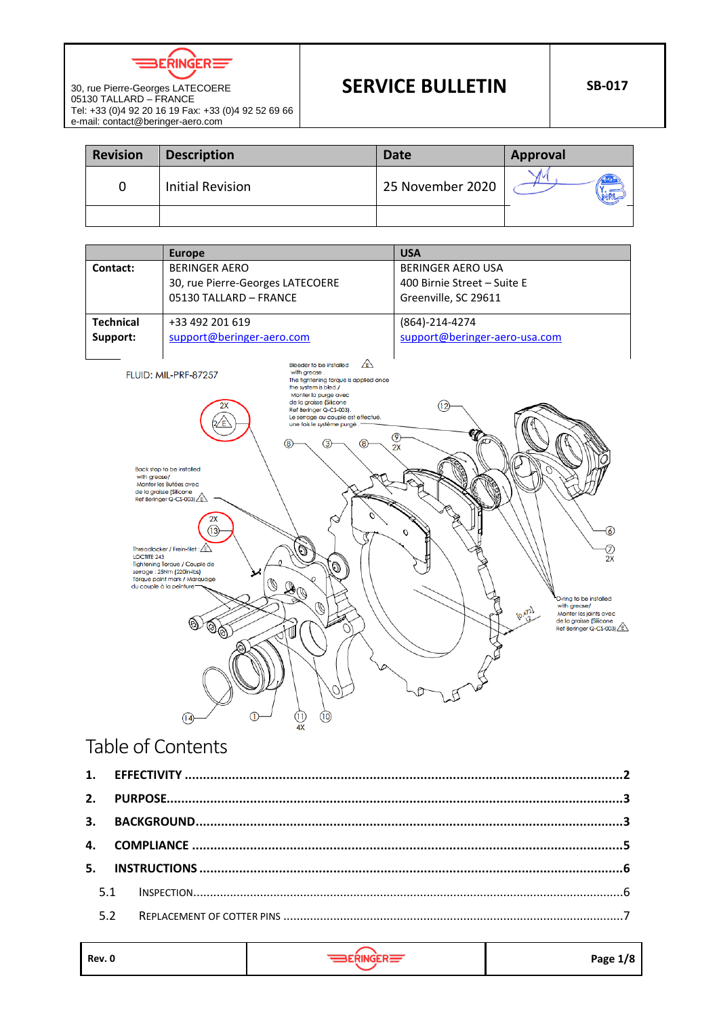ERINGER

30, rue Pierre-Georges LATECOERE 05130 TALLARD – FRANCE

e-mail: contact@beringer-aero.com

## **SERVICE BULLETIN** SB-017

| <b>Revision</b> | <b>Description</b> | <b>Date</b>      | <b>Approval</b> |
|-----------------|--------------------|------------------|-----------------|
|                 | Initial Revision   | 25 November 2020 |                 |
|                 |                    |                  |                 |



# Table of Contents

| 5.1 |  |  |
|-----|--|--|
| 5.2 |  |  |
|     |  |  |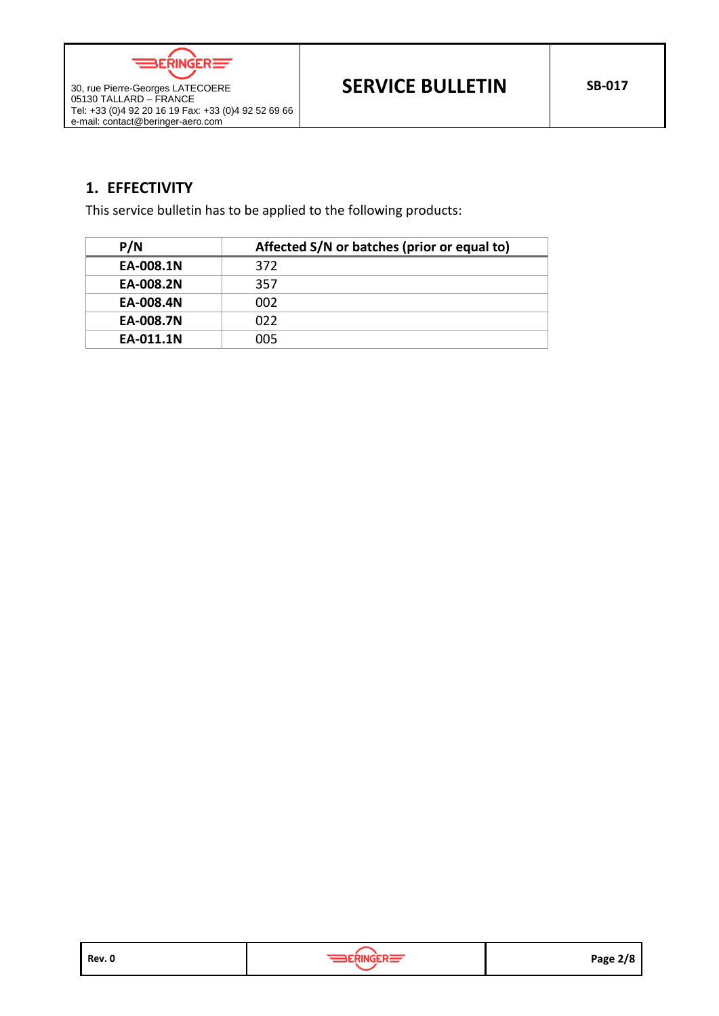$BERINGER$ 

30, rue Pierre-Georges LATECOERE 05130 TALLARD – FRANCE Tel: +33 (0)4 92 20 16 19 Fax: +33 (0)4 92 52 69 66 e-mail: contact@beringer-aero.com

### <span id="page-1-0"></span>**1. EFFECTIVITY**

This service bulletin has to be applied to the following products:

| P/N       | Affected S/N or batches (prior or equal to) |
|-----------|---------------------------------------------|
| EA-008.1N | 372                                         |
| EA-008.2N | 357                                         |
| EA-008.4N | 002                                         |
| EA-008.7N | 022                                         |
| EA-011.1N | 005                                         |



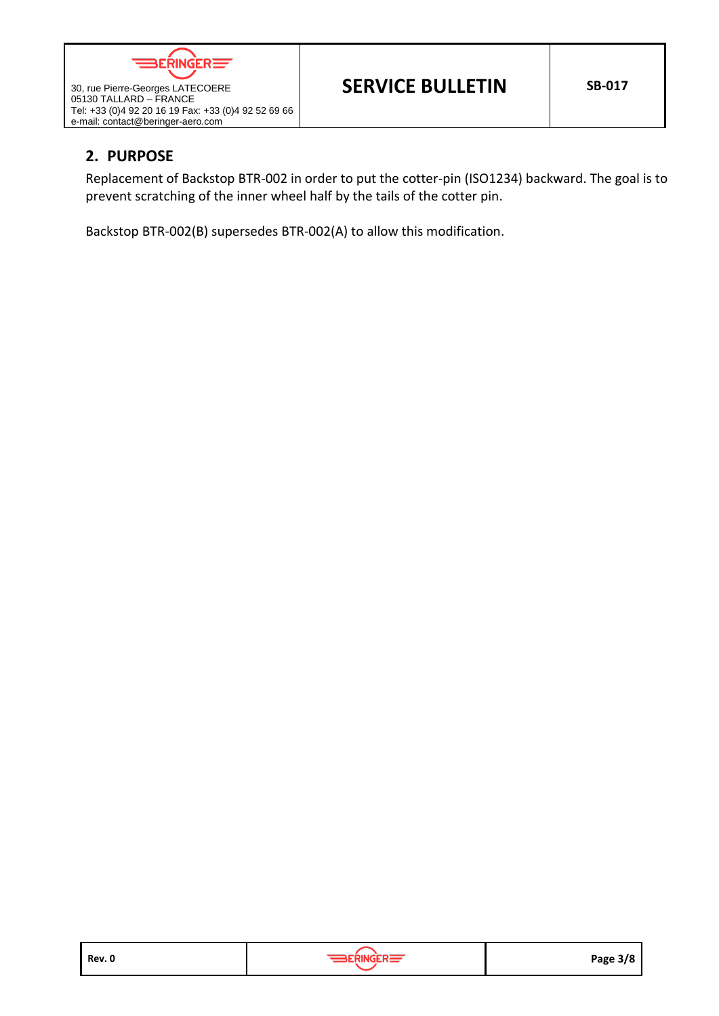

30, rue Pierre-Georges LATECOERE 05130 TALLARD – FRANCE Tel: +33 (0)4 92 20 16 19 Fax: +33 (0)4 92 52 69 66 e-mail: contact@beringer-aero.com

## **SERVICE BULLETIN** SB-017

#### <span id="page-2-0"></span>**2. PURPOSE**

Replacement of Backstop BTR-002 in order to put the cotter-pin (ISO1234) backward. The goal is to prevent scratching of the inner wheel half by the tails of the cotter pin.

<span id="page-2-1"></span>Backstop BTR-002(B) supersedes BTR-002(A) to allow this modification.

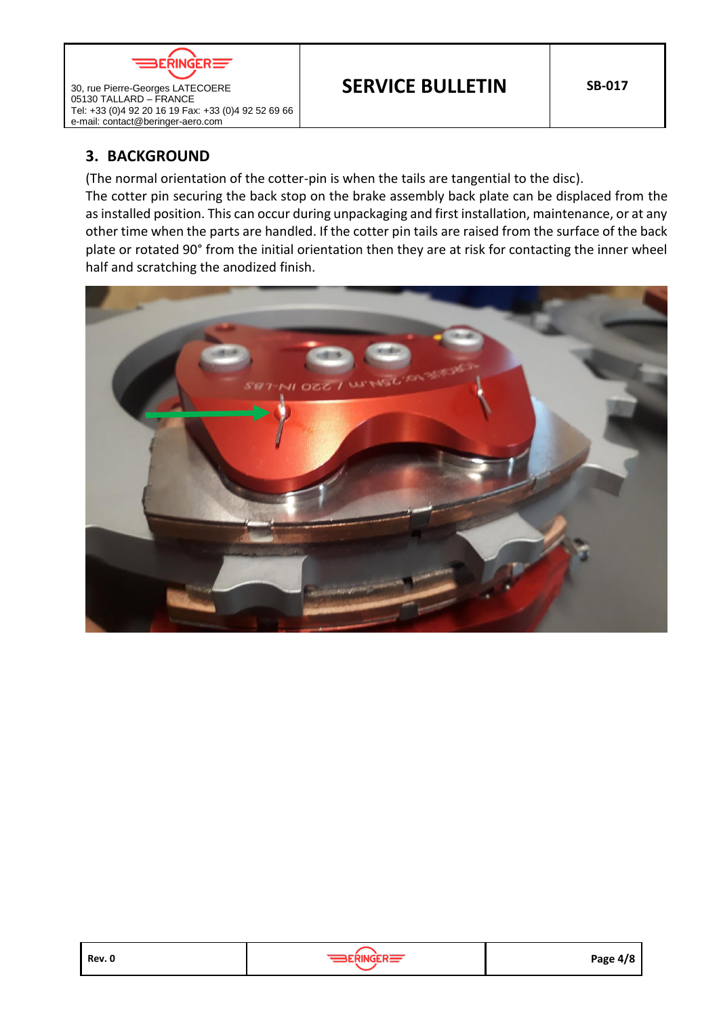

30, rue Pierre-Georges LATECOERE 05130 TALLARD – FRANCE Tel: +33 (0)4 92 20 16 19 Fax: +33 (0)4 92 52 69 66 e-mail: contact@beringer-aero.com

### **SERVICE BULLETIN** SB-017

### **3. BACKGROUND**

(The normal orientation of the cotter-pin is when the tails are tangential to the disc).

The cotter pin securing the back stop on the brake assembly back plate can be displaced from the as installed position. This can occur during unpackaging and first installation, maintenance, or at any other time when the parts are handled. If the cotter pin tails are raised from the surface of the back plate or rotated 90° from the initial orientation then they are at risk for contacting the inner wheel half and scratching the anodized finish.



<span id="page-3-0"></span>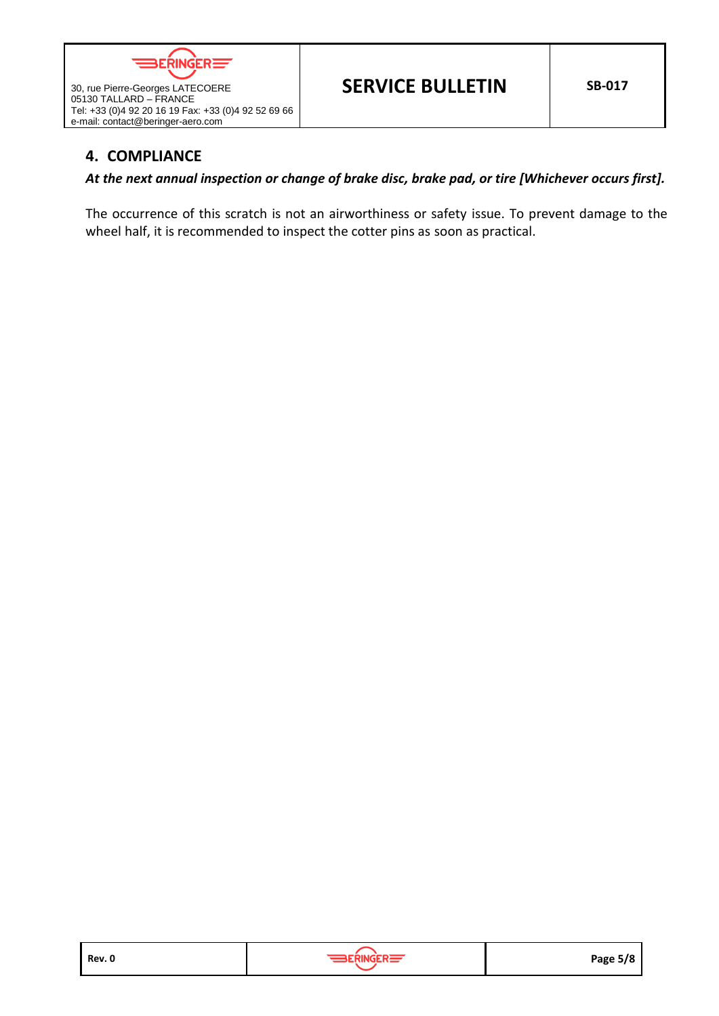

#### **4. COMPLIANCE**

e-mail: contact@beringer-aero.com

05130 TALLARD – FRANCE

#### *At the next annual inspection or change of brake disc, brake pad, or tire [Whichever occurs first].*

The occurrence of this scratch is not an airworthiness or safety issue. To prevent damage to the wheel half, it is recommended to inspect the cotter pins as soon as practical.

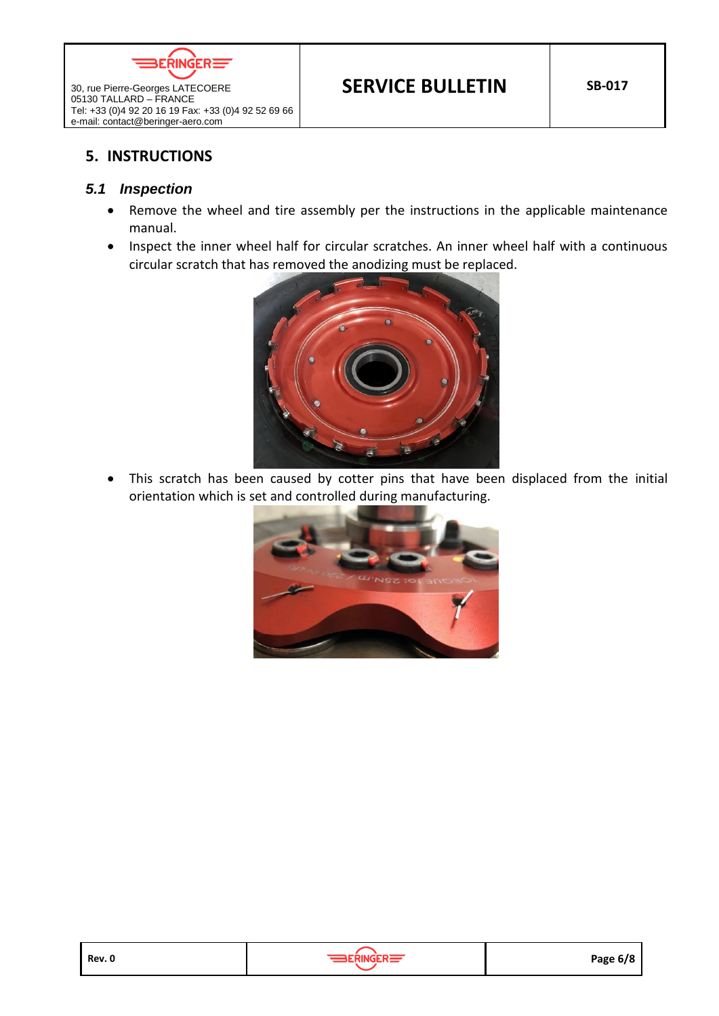

#### <span id="page-5-0"></span>**5. INSTRUCTIONS**

e-mail: contact@beringer-aero.com

#### <span id="page-5-1"></span>*5.1 Inspection*

05130 TALLARD – FRANCE

- Remove the wheel and tire assembly per the instructions in the applicable maintenance manual.
- Inspect the inner wheel half for circular scratches. An inner wheel half with a continuous circular scratch that has removed the anodizing must be replaced.



<span id="page-5-2"></span>• This scratch has been caused by cotter pins that have been displaced from the initial orientation which is set and controlled during manufacturing.



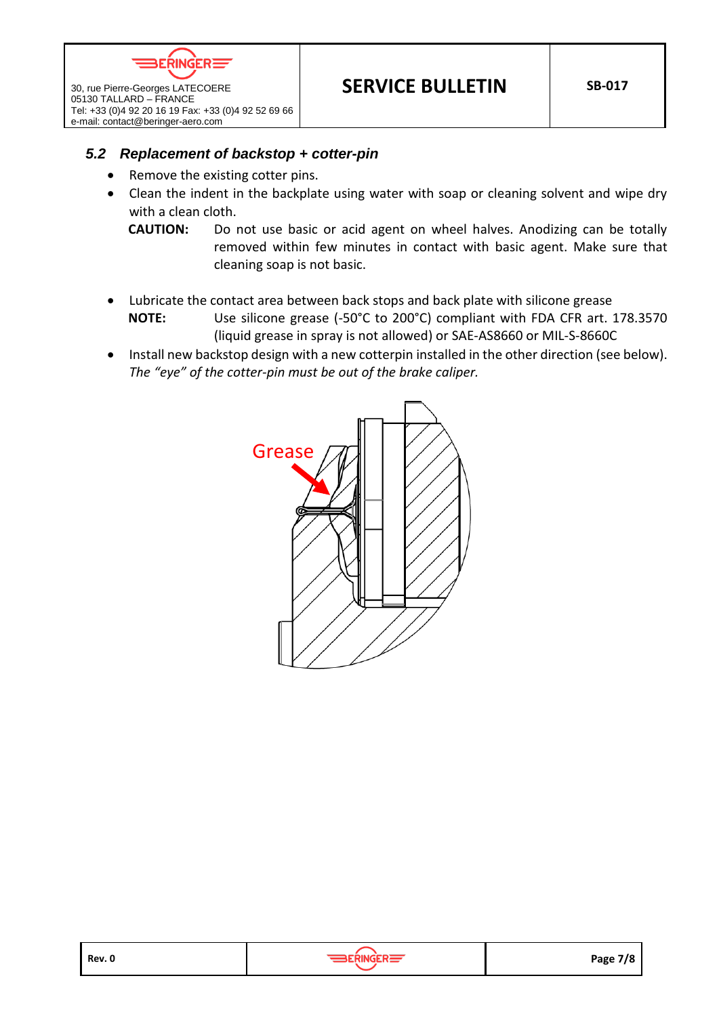

30, rue Pierre-Georges LATECOERE 05130 TALLARD – FRANCE

e-mail: contact@beringer-aero.com

### *5.2 Replacement of backstop + cotter-pin*

- Remove the existing cotter pins.
- Clean the indent in the backplate using water with soap or cleaning solvent and wipe dry with a clean cloth.
	- **CAUTION:** Do not use basic or acid agent on wheel halves. Anodizing can be totally removed within few minutes in contact with basic agent. Make sure that cleaning soap is not basic.
- Lubricate the contact area between back stops and back plate with silicone grease **NOTE:** Use silicone grease (-50°C to 200°C) compliant with FDA CFR art. 178.3570 (liquid grease in spray is not allowed) or SAE-AS8660 or MIL-S-8660C
- Install new backstop design with a new cotterpin installed in the other direction (see below). *The "eye" of the cotter-pin must be out of the brake caliper.*